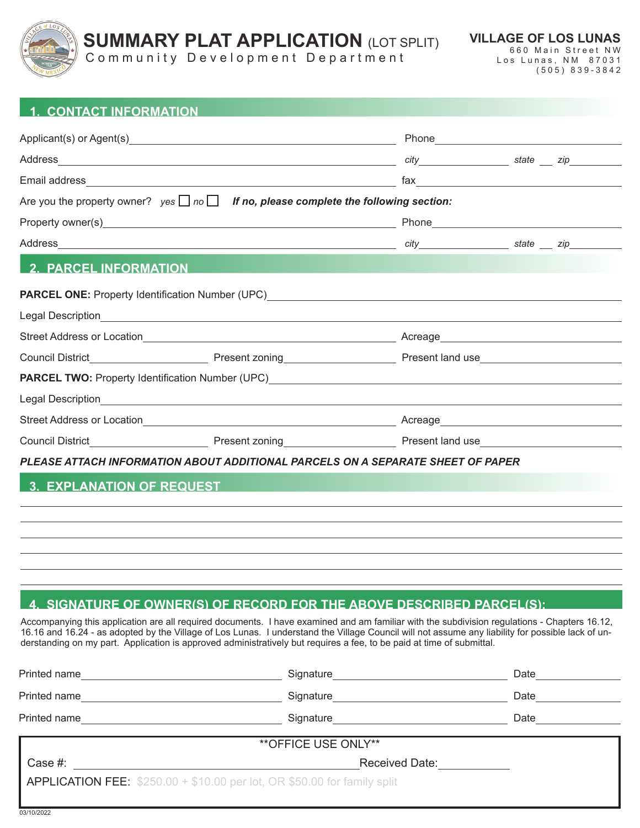

03/10/2022

## **1. CONTACT INFORMATION**

|                              | Are you the property owner? $yes \Box no \Box$ If no, please complete the following section: |  |  |  |  |
|------------------------------|----------------------------------------------------------------------------------------------|--|--|--|--|
|                              |                                                                                              |  |  |  |  |
|                              |                                                                                              |  |  |  |  |
| <b>2. PARCEL INFORMATION</b> |                                                                                              |  |  |  |  |
|                              |                                                                                              |  |  |  |  |
|                              |                                                                                              |  |  |  |  |
|                              |                                                                                              |  |  |  |  |
|                              |                                                                                              |  |  |  |  |
|                              |                                                                                              |  |  |  |  |
|                              |                                                                                              |  |  |  |  |
|                              |                                                                                              |  |  |  |  |
|                              |                                                                                              |  |  |  |  |
|                              | PLEASE ATTACH INFORMATION ABOUT ADDITIONAL PARCELS ON A SEPARATE SHEET OF PAPER              |  |  |  |  |
|                              | 3. EXPLANATION OF REQUEST                                                                    |  |  |  |  |
|                              |                                                                                              |  |  |  |  |
|                              |                                                                                              |  |  |  |  |
|                              |                                                                                              |  |  |  |  |
|                              |                                                                                              |  |  |  |  |
|                              |                                                                                              |  |  |  |  |

# **4. SIGNATURE OF OWNER(S) OF RECORD FOR THE ABOVE DESCRIBED PARCEL(S):**

Accompanying this application are all required documents. I have examined and am familiar with the subdivision regulations - Chapters 16.12, 16.16 and 16.24 - as adopted by the Village of Los Lunas. I understand the Village Council will not assume any liability for possible lack of understanding on my part. Application is approved administratively but requires a fee, to be paid at time of submittal.

| Printed name                                                                     | Signature             | Date |  |  |
|----------------------------------------------------------------------------------|-----------------------|------|--|--|
| Printed name                                                                     | Signature             | Date |  |  |
| Printed name                                                                     | Signature             | Date |  |  |
| ** OFFICE USE ONLY**                                                             |                       |      |  |  |
| Case #:                                                                          | <b>Received Date:</b> |      |  |  |
| <b>APPLICATION FEE:</b> $$250.00 + $10.00$ per lot, OR $$50.00$ for family split |                       |      |  |  |
|                                                                                  |                       |      |  |  |